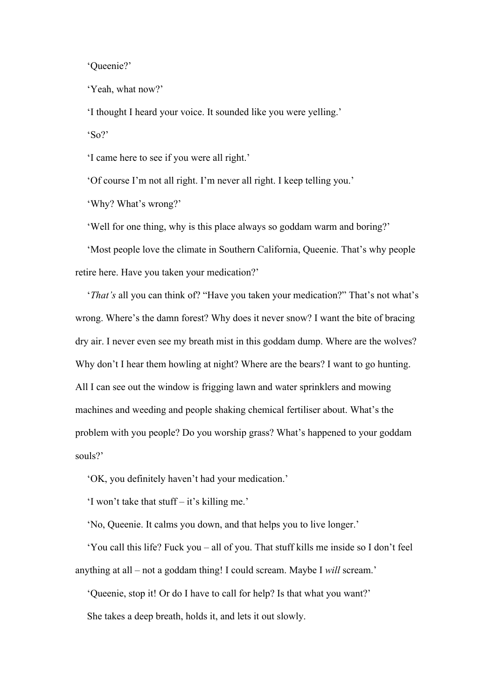'Queenie?'

'Yeah, what now?'

'I thought I heard your voice. It sounded like you were yelling.' 'So?'

'I came here to see if you were all right.'

'Of course I'm not all right. I'm never all right. I keep telling you.'

'Why? What's wrong?'

'Well for one thing, why is this place always so goddam warm and boring?'

'Most people love the climate in Southern California, Queenie. That's why people retire here. Have you taken your medication?'

'*That's* all you can think of? "Have you taken your medication?" That's not what's wrong. Where's the damn forest? Why does it never snow? I want the bite of bracing dry air. I never even see my breath mist in this goddam dump. Where are the wolves? Why don't I hear them howling at night? Where are the bears? I want to go hunting. All I can see out the window is frigging lawn and water sprinklers and mowing machines and weeding and people shaking chemical fertiliser about. What's the problem with you people? Do you worship grass? What's happened to your goddam souls?'

'OK, you definitely haven't had your medication.'

'I won't take that stuff – it's killing me.'

'No, Queenie. It calms you down, and that helps you to live longer.'

'You call this life? Fuck you – all of you. That stuff kills me inside so I don't feel anything at all – not a goddam thing! I could scream. Maybe I *will* scream.'

'Queenie, stop it! Or do I have to call for help? Is that what you want?' She takes a deep breath, holds it, and lets it out slowly.